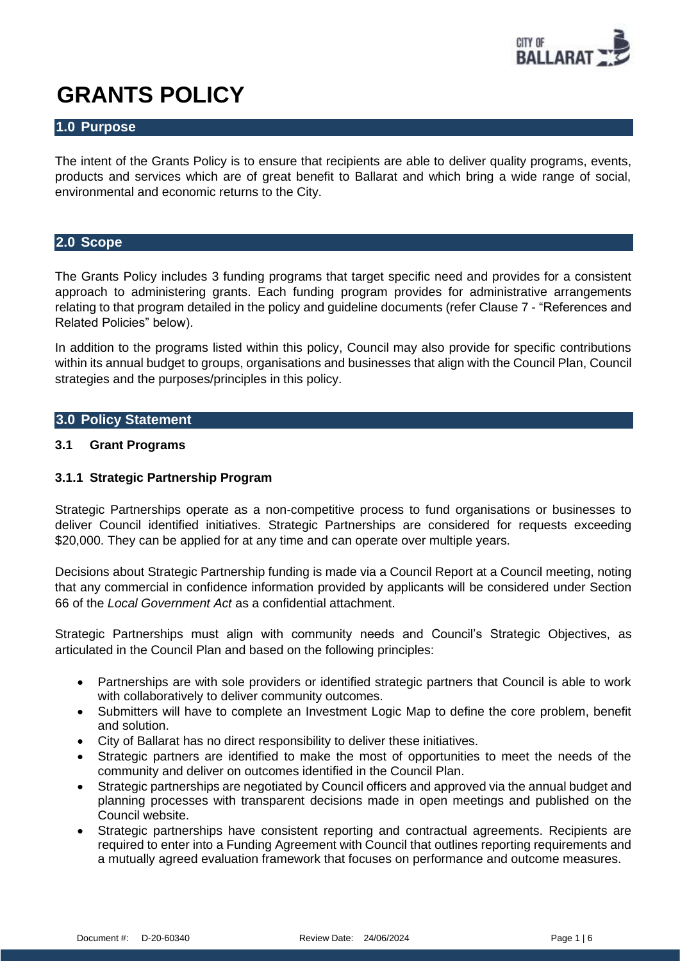

# **GRANTS POLICY**

# **1.0 Purpose**

The intent of the Grants Policy is to ensure that recipients are able to deliver quality programs, events, products and services which are of great benefit to Ballarat and which bring a wide range of social, environmental and economic returns to the City.

# **2.0 Scope**

The Grants Policy includes 3 funding programs that target specific need and provides for a consistent approach to administering grants. Each funding program provides for administrative arrangements relating to that program detailed in the policy and guideline documents (refer Clause 7 - "References and Related Policies" below).

In addition to the programs listed within this policy, Council may also provide for specific contributions within its annual budget to groups, organisations and businesses that align with the Council Plan, Council strategies and the purposes/principles in this policy.

# **3.0 Policy Statement**

# **3.1 Grant Programs**

# **3.1.1 Strategic Partnership Program**

Strategic Partnerships operate as a non-competitive process to fund organisations or businesses to deliver Council identified initiatives. Strategic Partnerships are considered for requests exceeding \$20,000. They can be applied for at any time and can operate over multiple years.

Decisions about Strategic Partnership funding is made via a Council Report at a Council meeting, noting that any commercial in confidence information provided by applicants will be considered under Section 66 of the *Local Government Act* as a confidential attachment.

Strategic Partnerships must align with community needs and Council's Strategic Objectives, as articulated in the Council Plan and based on the following principles:

- Partnerships are with sole providers or identified strategic partners that Council is able to work with collaboratively to deliver community outcomes.
- Submitters will have to complete an Investment Logic Map to define the core problem, benefit and solution.
- City of Ballarat has no direct responsibility to deliver these initiatives.
- Strategic partners are identified to make the most of opportunities to meet the needs of the community and deliver on outcomes identified in the Council Plan.
- Strategic partnerships are negotiated by Council officers and approved via the annual budget and planning processes with transparent decisions made in open meetings and published on the Council website.
- Strategic partnerships have consistent reporting and contractual agreements. Recipients are required to enter into a Funding Agreement with Council that outlines reporting requirements and a mutually agreed evaluation framework that focuses on performance and outcome measures.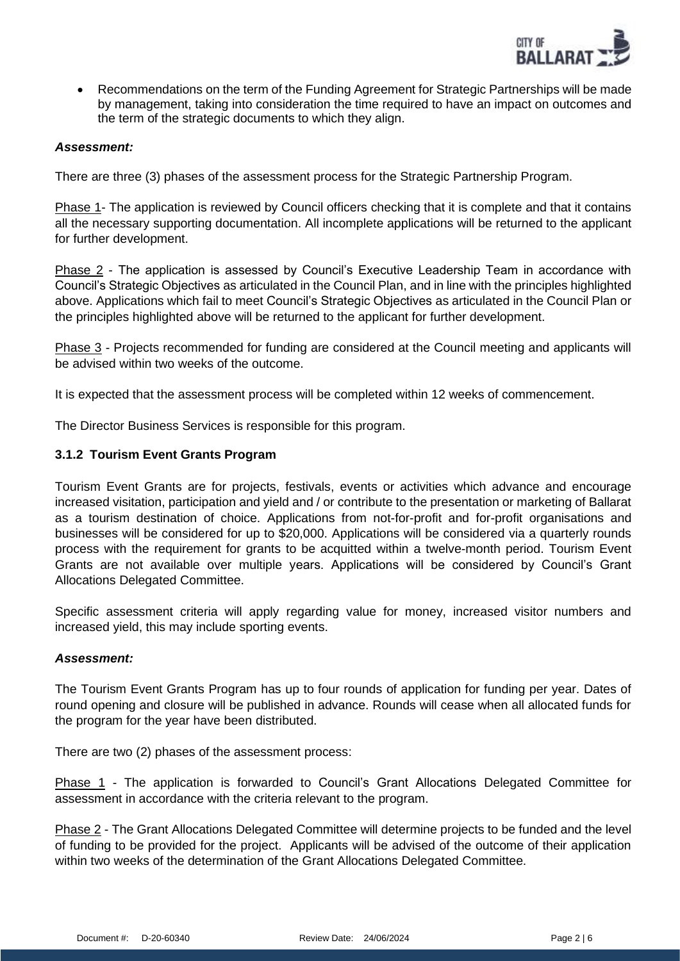

• Recommendations on the term of the Funding Agreement for Strategic Partnerships will be made by management, taking into consideration the time required to have an impact on outcomes and the term of the strategic documents to which they align.

#### *Assessment:*

There are three (3) phases of the assessment process for the Strategic Partnership Program.

Phase 1- The application is reviewed by Council officers checking that it is complete and that it contains all the necessary supporting documentation. All incomplete applications will be returned to the applicant for further development.

Phase 2 - The application is assessed by Council's Executive Leadership Team in accordance with Council's Strategic Objectives as articulated in the Council Plan, and in line with the principles highlighted above. Applications which fail to meet Council's Strategic Objectives as articulated in the Council Plan or the principles highlighted above will be returned to the applicant for further development.

Phase 3 - Projects recommended for funding are considered at the Council meeting and applicants will be advised within two weeks of the outcome.

It is expected that the assessment process will be completed within 12 weeks of commencement.

The Director Business Services is responsible for this program.

# **3.1.2 Tourism Event Grants Program**

Tourism Event Grants are for projects, festivals, events or activities which advance and encourage increased visitation, participation and yield and / or contribute to the presentation or marketing of Ballarat as a tourism destination of choice. Applications from not-for-profit and for-profit organisations and businesses will be considered for up to \$20,000. Applications will be considered via a quarterly rounds process with the requirement for grants to be acquitted within a twelve-month period. Tourism Event Grants are not available over multiple years. Applications will be considered by Council's Grant Allocations Delegated Committee.

Specific assessment criteria will apply regarding value for money, increased visitor numbers and increased yield, this may include sporting events.

#### *Assessment:*

The Tourism Event Grants Program has up to four rounds of application for funding per year. Dates of round opening and closure will be published in advance. Rounds will cease when all allocated funds for the program for the year have been distributed.

There are two (2) phases of the assessment process:

Phase 1 - The application is forwarded to Council's Grant Allocations Delegated Committee for assessment in accordance with the criteria relevant to the program.

Phase 2 - The Grant Allocations Delegated Committee will determine projects to be funded and the level of funding to be provided for the project. Applicants will be advised of the outcome of their application within two weeks of the determination of the Grant Allocations Delegated Committee.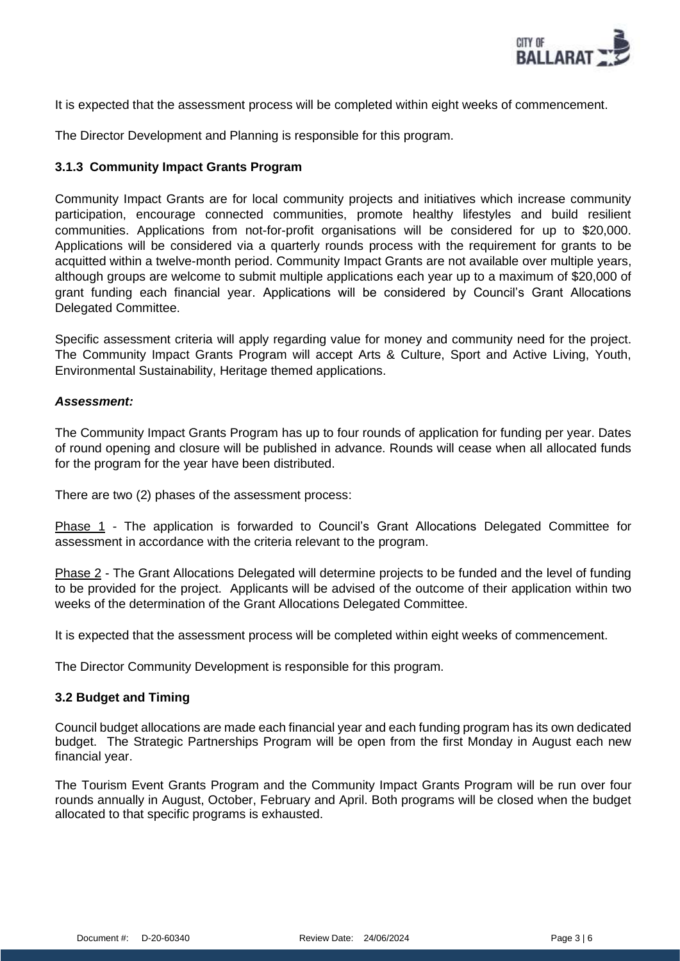

It is expected that the assessment process will be completed within eight weeks of commencement.

The Director Development and Planning is responsible for this program.

# **3.1.3 Community Impact Grants Program**

Community Impact Grants are for local community projects and initiatives which increase community participation, encourage connected communities, promote healthy lifestyles and build resilient communities. Applications from not-for-profit organisations will be considered for up to \$20,000. Applications will be considered via a quarterly rounds process with the requirement for grants to be acquitted within a twelve-month period. Community Impact Grants are not available over multiple years, although groups are welcome to submit multiple applications each year up to a maximum of \$20,000 of grant funding each financial year. Applications will be considered by Council's Grant Allocations Delegated Committee.

Specific assessment criteria will apply regarding value for money and community need for the project. The Community Impact Grants Program will accept Arts & Culture, Sport and Active Living, Youth, Environmental Sustainability, Heritage themed applications.

#### *Assessment:*

The Community Impact Grants Program has up to four rounds of application for funding per year. Dates of round opening and closure will be published in advance. Rounds will cease when all allocated funds for the program for the year have been distributed.

There are two (2) phases of the assessment process:

Phase 1 - The application is forwarded to Council's Grant Allocations Delegated Committee for assessment in accordance with the criteria relevant to the program.

Phase 2 - The Grant Allocations Delegated will determine projects to be funded and the level of funding to be provided for the project. Applicants will be advised of the outcome of their application within two weeks of the determination of the Grant Allocations Delegated Committee.

It is expected that the assessment process will be completed within eight weeks of commencement.

The Director Community Development is responsible for this program.

#### **3.2 Budget and Timing**

Council budget allocations are made each financial year and each funding program has its own dedicated budget. The Strategic Partnerships Program will be open from the first Monday in August each new financial year.

The Tourism Event Grants Program and the Community Impact Grants Program will be run over four rounds annually in August, October, February and April. Both programs will be closed when the budget allocated to that specific programs is exhausted.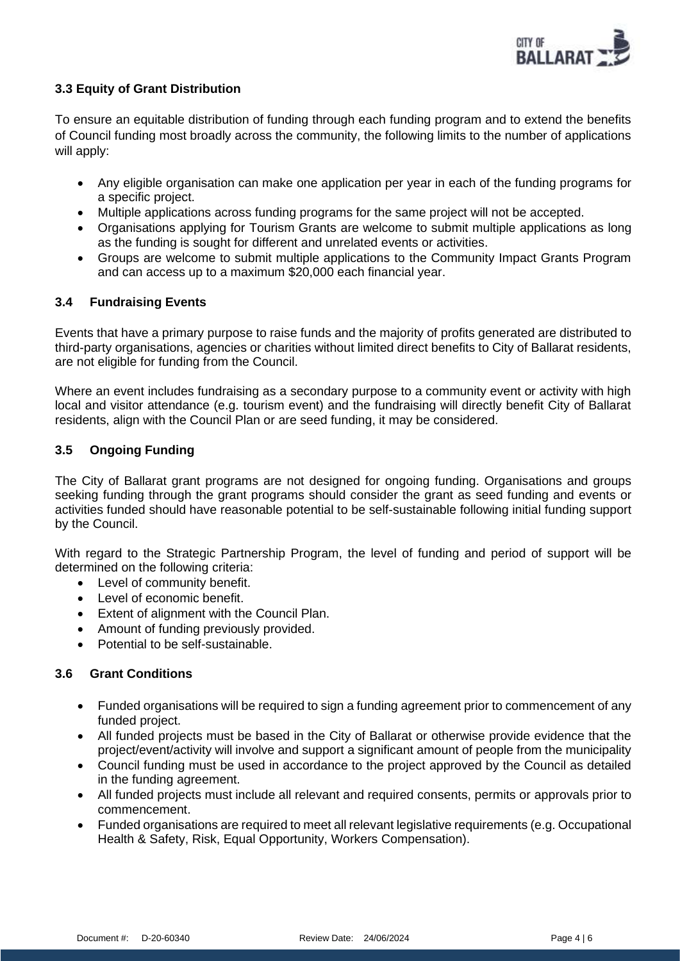

# **3.3 Equity of Grant Distribution**

To ensure an equitable distribution of funding through each funding program and to extend the benefits of Council funding most broadly across the community, the following limits to the number of applications will apply:

- Any eligible organisation can make one application per year in each of the funding programs for a specific project.
- Multiple applications across funding programs for the same project will not be accepted.
- Organisations applying for Tourism Grants are welcome to submit multiple applications as long as the funding is sought for different and unrelated events or activities.
- Groups are welcome to submit multiple applications to the Community Impact Grants Program and can access up to a maximum \$20,000 each financial year.

# **3.4 Fundraising Events**

Events that have a primary purpose to raise funds and the majority of profits generated are distributed to third-party organisations, agencies or charities without limited direct benefits to City of Ballarat residents, are not eligible for funding from the Council.

Where an event includes fundraising as a secondary purpose to a community event or activity with high local and visitor attendance (e.g. tourism event) and the fundraising will directly benefit City of Ballarat residents, align with the Council Plan or are seed funding, it may be considered.

# **3.5 Ongoing Funding**

The City of Ballarat grant programs are not designed for ongoing funding. Organisations and groups seeking funding through the grant programs should consider the grant as seed funding and events or activities funded should have reasonable potential to be self-sustainable following initial funding support by the Council.

With regard to the Strategic Partnership Program, the level of funding and period of support will be determined on the following criteria:

- Level of community benefit.
- Level of economic benefit.
- Extent of alignment with the Council Plan.
- Amount of funding previously provided.
- Potential to be self-sustainable.

#### **3.6 Grant Conditions**

- Funded organisations will be required to sign a funding agreement prior to commencement of any funded project.
- All funded projects must be based in the City of Ballarat or otherwise provide evidence that the project/event/activity will involve and support a significant amount of people from the municipality
- Council funding must be used in accordance to the project approved by the Council as detailed in the funding agreement.
- All funded projects must include all relevant and required consents, permits or approvals prior to commencement.
- Funded organisations are required to meet all relevant legislative requirements (e.g. Occupational Health & Safety, Risk, Equal Opportunity, Workers Compensation).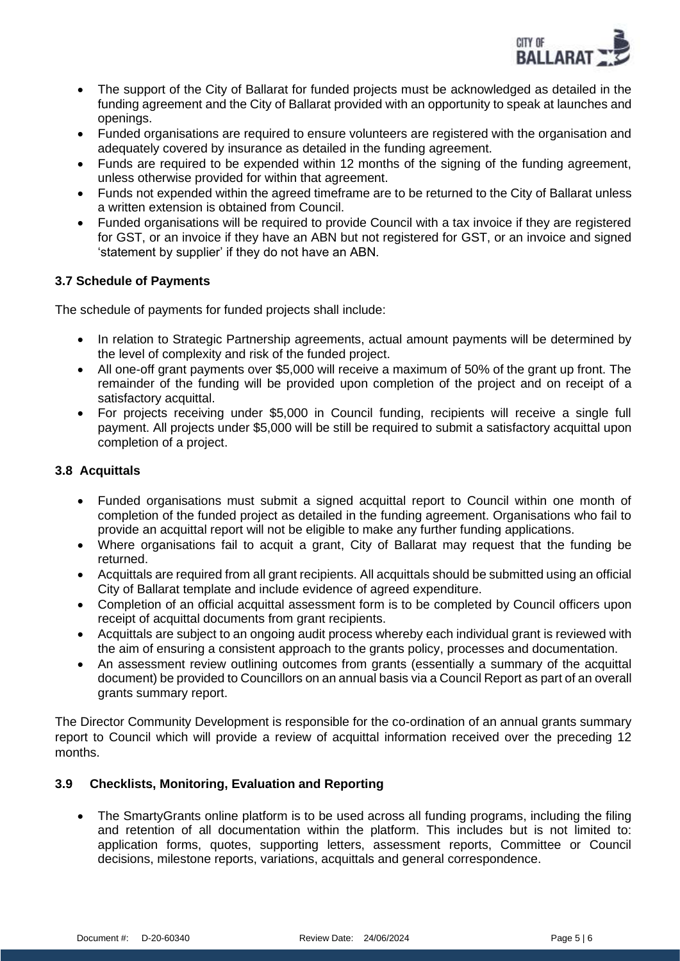

- The support of the City of Ballarat for funded projects must be acknowledged as detailed in the funding agreement and the City of Ballarat provided with an opportunity to speak at launches and openings.
- Funded organisations are required to ensure volunteers are registered with the organisation and adequately covered by insurance as detailed in the funding agreement.
- Funds are required to be expended within 12 months of the signing of the funding agreement, unless otherwise provided for within that agreement.
- Funds not expended within the agreed timeframe are to be returned to the City of Ballarat unless a written extension is obtained from Council.
- Funded organisations will be required to provide Council with a tax invoice if they are registered for GST, or an invoice if they have an ABN but not registered for GST, or an invoice and signed 'statement by supplier' if they do not have an ABN.

# **3.7 Schedule of Payments**

The schedule of payments for funded projects shall include:

- In relation to Strategic Partnership agreements, actual amount payments will be determined by the level of complexity and risk of the funded project.
- All one-off grant payments over \$5,000 will receive a maximum of 50% of the grant up front. The remainder of the funding will be provided upon completion of the project and on receipt of a satisfactory acquittal.
- For projects receiving under \$5,000 in Council funding, recipients will receive a single full payment. All projects under \$5,000 will be still be required to submit a satisfactory acquittal upon completion of a project.

# **3.8 Acquittals**

- Funded organisations must submit a signed acquittal report to Council within one month of completion of the funded project as detailed in the funding agreement. Organisations who fail to provide an acquittal report will not be eligible to make any further funding applications.
- Where organisations fail to acquit a grant. City of Ballarat may request that the funding be returned.
- Acquittals are required from all grant recipients. All acquittals should be submitted using an official City of Ballarat template and include evidence of agreed expenditure.
- Completion of an official acquittal assessment form is to be completed by Council officers upon receipt of acquittal documents from grant recipients.
- Acquittals are subject to an ongoing audit process whereby each individual grant is reviewed with the aim of ensuring a consistent approach to the grants policy, processes and documentation.
- An assessment review outlining outcomes from grants (essentially a summary of the acquittal document) be provided to Councillors on an annual basis via a Council Report as part of an overall grants summary report.

The Director Community Development is responsible for the co-ordination of an annual grants summary report to Council which will provide a review of acquittal information received over the preceding 12 months.

# **3.9 Checklists, Monitoring, Evaluation and Reporting**

• The SmartyGrants online platform is to be used across all funding programs, including the filing and retention of all documentation within the platform. This includes but is not limited to: application forms, quotes, supporting letters, assessment reports, Committee or Council decisions, milestone reports, variations, acquittals and general correspondence.